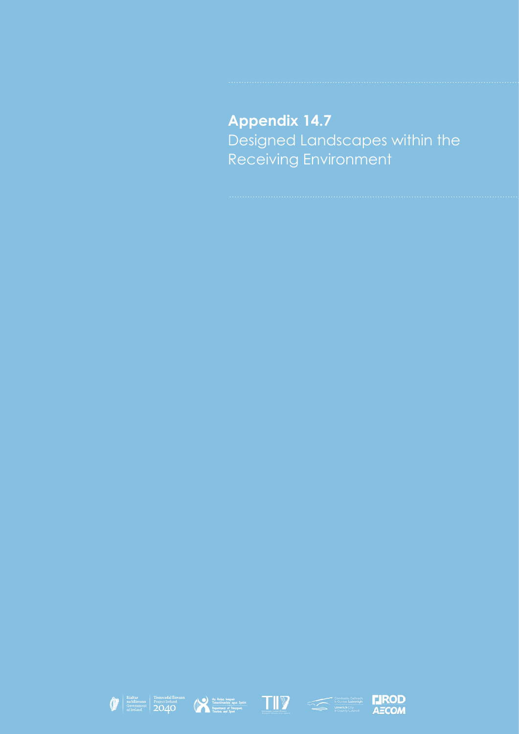## **Appendix 14.7** Designed Landscapes within the Receiving Environment









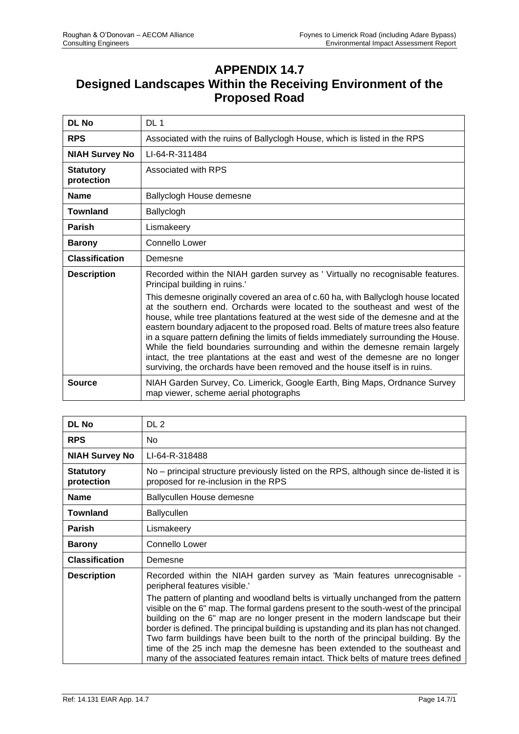## **APPENDIX 14.7 Designed Landscapes Within the Receiving Environment of the Proposed Road**

| <b>DL No</b>                   | DL <sub>1</sub>                                                                                                                                                                                                                                                                                                                                                                                                                                                                                                                                                                                                                                                                      |
|--------------------------------|--------------------------------------------------------------------------------------------------------------------------------------------------------------------------------------------------------------------------------------------------------------------------------------------------------------------------------------------------------------------------------------------------------------------------------------------------------------------------------------------------------------------------------------------------------------------------------------------------------------------------------------------------------------------------------------|
| <b>RPS</b>                     | Associated with the ruins of Ballyclogh House, which is listed in the RPS                                                                                                                                                                                                                                                                                                                                                                                                                                                                                                                                                                                                            |
| <b>NIAH Survey No</b>          | LI-64-R-311484                                                                                                                                                                                                                                                                                                                                                                                                                                                                                                                                                                                                                                                                       |
| <b>Statutory</b><br>protection | Associated with RPS                                                                                                                                                                                                                                                                                                                                                                                                                                                                                                                                                                                                                                                                  |
| <b>Name</b>                    | Ballyclogh House demesne                                                                                                                                                                                                                                                                                                                                                                                                                                                                                                                                                                                                                                                             |
| Townland                       | Ballyclogh                                                                                                                                                                                                                                                                                                                                                                                                                                                                                                                                                                                                                                                                           |
| <b>Parish</b>                  | Lismakeery                                                                                                                                                                                                                                                                                                                                                                                                                                                                                                                                                                                                                                                                           |
| <b>Barony</b>                  | Connello Lower                                                                                                                                                                                                                                                                                                                                                                                                                                                                                                                                                                                                                                                                       |
| <b>Classification</b>          | Demesne                                                                                                                                                                                                                                                                                                                                                                                                                                                                                                                                                                                                                                                                              |
| <b>Description</b>             | Recorded within the NIAH garden survey as 'Virtually no recognisable features.<br>Principal building in ruins.'                                                                                                                                                                                                                                                                                                                                                                                                                                                                                                                                                                      |
|                                | This demesne originally covered an area of c.60 ha, with Ballyclogh house located<br>at the southern end. Orchards were located to the southeast and west of the<br>house, while tree plantations featured at the west side of the demesne and at the<br>eastern boundary adjacent to the proposed road. Belts of mature trees also feature<br>in a square pattern defining the limits of fields immediately surrounding the House.<br>While the field boundaries surrounding and within the demesne remain largely<br>intact, the tree plantations at the east and west of the demesne are no longer<br>surviving, the orchards have been removed and the house itself is in ruins. |
| Source                         | NIAH Garden Survey, Co. Limerick, Google Earth, Bing Maps, Ordnance Survey<br>map viewer, scheme aerial photographs                                                                                                                                                                                                                                                                                                                                                                                                                                                                                                                                                                  |

| <b>DL No</b>                   | DL 2                                                                                                                                                                                                                                                                                                                                                                                                                                                                                                                                                                                                           |
|--------------------------------|----------------------------------------------------------------------------------------------------------------------------------------------------------------------------------------------------------------------------------------------------------------------------------------------------------------------------------------------------------------------------------------------------------------------------------------------------------------------------------------------------------------------------------------------------------------------------------------------------------------|
| <b>RPS</b>                     | No.                                                                                                                                                                                                                                                                                                                                                                                                                                                                                                                                                                                                            |
| <b>NIAH Survey No</b>          | LI-64-R-318488                                                                                                                                                                                                                                                                                                                                                                                                                                                                                                                                                                                                 |
| <b>Statutory</b><br>protection | No - principal structure previously listed on the RPS, although since de-listed it is<br>proposed for re-inclusion in the RPS                                                                                                                                                                                                                                                                                                                                                                                                                                                                                  |
| <b>Name</b>                    | Ballycullen House demesne                                                                                                                                                                                                                                                                                                                                                                                                                                                                                                                                                                                      |
| <b>Townland</b>                | <b>Ballycullen</b>                                                                                                                                                                                                                                                                                                                                                                                                                                                                                                                                                                                             |
| <b>Parish</b>                  | Lismakeery                                                                                                                                                                                                                                                                                                                                                                                                                                                                                                                                                                                                     |
| <b>Barony</b>                  | Connello Lower                                                                                                                                                                                                                                                                                                                                                                                                                                                                                                                                                                                                 |
| <b>Classification</b>          | Demesne                                                                                                                                                                                                                                                                                                                                                                                                                                                                                                                                                                                                        |
| <b>Description</b>             | Recorded within the NIAH garden survey as 'Main features unrecognisable -<br>peripheral features visible."                                                                                                                                                                                                                                                                                                                                                                                                                                                                                                     |
|                                | The pattern of planting and woodland belts is virtually unchanged from the pattern<br>visible on the 6" map. The formal gardens present to the south-west of the principal<br>building on the 6" map are no longer present in the modern landscape but their<br>border is defined. The principal building is upstanding and its plan has not changed.<br>Two farm buildings have been built to the north of the principal building. By the<br>time of the 25 inch map the demesne has been extended to the southeast and<br>many of the associated features remain intact. Thick belts of mature trees defined |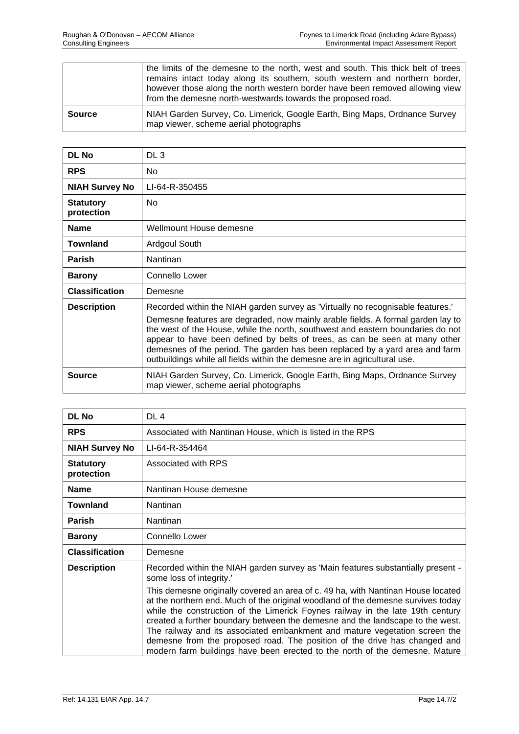|               | the limits of the demesne to the north, west and south. This thick belt of trees<br>remains intact today along its southern, south western and northern border,<br>however those along the north western border have been removed allowing view<br>from the demesne north-westwards towards the proposed road. |
|---------------|----------------------------------------------------------------------------------------------------------------------------------------------------------------------------------------------------------------------------------------------------------------------------------------------------------------|
| <b>Source</b> | NIAH Garden Survey, Co. Limerick, Google Earth, Bing Maps, Ordnance Survey<br>map viewer, scheme aerial photographs                                                                                                                                                                                            |

| <b>DL No</b>                   | DL 3                                                                                                                                                                                                                                                                                                                                                                                                                                                                                              |
|--------------------------------|---------------------------------------------------------------------------------------------------------------------------------------------------------------------------------------------------------------------------------------------------------------------------------------------------------------------------------------------------------------------------------------------------------------------------------------------------------------------------------------------------|
| <b>RPS</b>                     | No.                                                                                                                                                                                                                                                                                                                                                                                                                                                                                               |
| <b>NIAH Survey No</b>          | LI-64-R-350455                                                                                                                                                                                                                                                                                                                                                                                                                                                                                    |
| <b>Statutory</b><br>protection | No.                                                                                                                                                                                                                                                                                                                                                                                                                                                                                               |
| <b>Name</b>                    | Wellmount House demesne                                                                                                                                                                                                                                                                                                                                                                                                                                                                           |
| <b>Townland</b>                | Ardgoul South                                                                                                                                                                                                                                                                                                                                                                                                                                                                                     |
| <b>Parish</b>                  | Nantinan                                                                                                                                                                                                                                                                                                                                                                                                                                                                                          |
| <b>Barony</b>                  | Connello Lower                                                                                                                                                                                                                                                                                                                                                                                                                                                                                    |
| <b>Classification</b>          | Demesne                                                                                                                                                                                                                                                                                                                                                                                                                                                                                           |
| <b>Description</b>             | Recorded within the NIAH garden survey as 'Virtually no recognisable features.'<br>Demesne features are degraded, now mainly arable fields. A formal garden lay to<br>the west of the House, while the north, southwest and eastern boundaries do not<br>appear to have been defined by belts of trees, as can be seen at many other<br>demesnes of the period. The garden has been replaced by a yard area and farm<br>outbuildings while all fields within the demesne are in agricultural use. |
| <b>Source</b>                  | NIAH Garden Survey, Co. Limerick, Google Earth, Bing Maps, Ordnance Survey<br>map viewer, scheme aerial photographs                                                                                                                                                                                                                                                                                                                                                                               |

| <b>DL No</b>                   | DL <sub>4</sub>                                                                                                                                                                                                                                                                                                                                                                                                                                                                                                                                                                   |
|--------------------------------|-----------------------------------------------------------------------------------------------------------------------------------------------------------------------------------------------------------------------------------------------------------------------------------------------------------------------------------------------------------------------------------------------------------------------------------------------------------------------------------------------------------------------------------------------------------------------------------|
| <b>RPS</b>                     | Associated with Nantinan House, which is listed in the RPS                                                                                                                                                                                                                                                                                                                                                                                                                                                                                                                        |
| <b>NIAH Survey No</b>          | LI-64-R-354464                                                                                                                                                                                                                                                                                                                                                                                                                                                                                                                                                                    |
| <b>Statutory</b><br>protection | Associated with RPS                                                                                                                                                                                                                                                                                                                                                                                                                                                                                                                                                               |
| <b>Name</b>                    | Nantinan House demesne                                                                                                                                                                                                                                                                                                                                                                                                                                                                                                                                                            |
| <b>Townland</b>                | Nantinan                                                                                                                                                                                                                                                                                                                                                                                                                                                                                                                                                                          |
| <b>Parish</b>                  | Nantinan                                                                                                                                                                                                                                                                                                                                                                                                                                                                                                                                                                          |
| <b>Barony</b>                  | Connello Lower                                                                                                                                                                                                                                                                                                                                                                                                                                                                                                                                                                    |
| <b>Classification</b>          | Demesne                                                                                                                                                                                                                                                                                                                                                                                                                                                                                                                                                                           |
| <b>Description</b>             | Recorded within the NIAH garden survey as 'Main features substantially present -<br>some loss of integrity.'                                                                                                                                                                                                                                                                                                                                                                                                                                                                      |
|                                | This demesne originally covered an area of c. 49 ha, with Nantinan House located<br>at the northern end. Much of the original woodland of the demesne survives today<br>while the construction of the Limerick Foynes railway in the late 19th century<br>created a further boundary between the demesne and the landscape to the west.<br>The railway and its associated embankment and mature vegetation screen the<br>demesne from the proposed road. The position of the drive has changed and<br>modern farm buildings have been erected to the north of the demesne. Mature |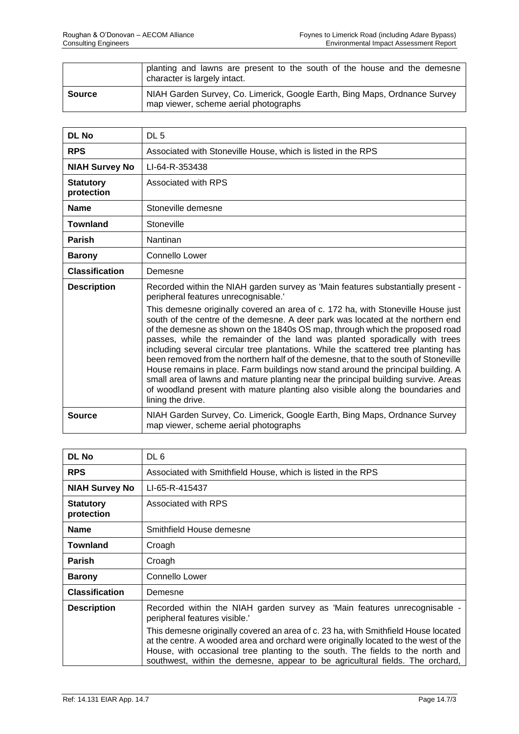|               | planting and lawns are present to the south of the house and the demesne<br>character is largely intact.            |
|---------------|---------------------------------------------------------------------------------------------------------------------|
| <b>Source</b> | NIAH Garden Survey, Co. Limerick, Google Earth, Bing Maps, Ordnance Survey<br>map viewer, scheme aerial photographs |

| <b>DL No</b>                   | DL <sub>5</sub>                                                                                                                                                                                                                                                                                                                                                                                                                                                                                                                                                                                                                                                                                                                                                                                                                                                                                                               |
|--------------------------------|-------------------------------------------------------------------------------------------------------------------------------------------------------------------------------------------------------------------------------------------------------------------------------------------------------------------------------------------------------------------------------------------------------------------------------------------------------------------------------------------------------------------------------------------------------------------------------------------------------------------------------------------------------------------------------------------------------------------------------------------------------------------------------------------------------------------------------------------------------------------------------------------------------------------------------|
| <b>RPS</b>                     | Associated with Stoneville House, which is listed in the RPS                                                                                                                                                                                                                                                                                                                                                                                                                                                                                                                                                                                                                                                                                                                                                                                                                                                                  |
| <b>NIAH Survey No</b>          | LI-64-R-353438                                                                                                                                                                                                                                                                                                                                                                                                                                                                                                                                                                                                                                                                                                                                                                                                                                                                                                                |
| <b>Statutory</b><br>protection | Associated with RPS                                                                                                                                                                                                                                                                                                                                                                                                                                                                                                                                                                                                                                                                                                                                                                                                                                                                                                           |
| <b>Name</b>                    | Stoneville demesne                                                                                                                                                                                                                                                                                                                                                                                                                                                                                                                                                                                                                                                                                                                                                                                                                                                                                                            |
| <b>Townland</b>                | Stoneville                                                                                                                                                                                                                                                                                                                                                                                                                                                                                                                                                                                                                                                                                                                                                                                                                                                                                                                    |
| <b>Parish</b>                  | Nantinan                                                                                                                                                                                                                                                                                                                                                                                                                                                                                                                                                                                                                                                                                                                                                                                                                                                                                                                      |
| <b>Barony</b>                  | Connello Lower                                                                                                                                                                                                                                                                                                                                                                                                                                                                                                                                                                                                                                                                                                                                                                                                                                                                                                                |
| <b>Classification</b>          | Demesne                                                                                                                                                                                                                                                                                                                                                                                                                                                                                                                                                                                                                                                                                                                                                                                                                                                                                                                       |
| <b>Description</b>             | Recorded within the NIAH garden survey as 'Main features substantially present -<br>peripheral features unrecognisable.'<br>This demesne originally covered an area of c. 172 ha, with Stoneville House just<br>south of the centre of the demesne. A deer park was located at the northern end<br>of the demesne as shown on the 1840s OS map, through which the proposed road<br>passes, while the remainder of the land was planted sporadically with trees<br>including several circular tree plantations. While the scattered tree planting has<br>been removed from the northern half of the demesne, that to the south of Stoneville<br>House remains in place. Farm buildings now stand around the principal building. A<br>small area of lawns and mature planting near the principal building survive. Areas<br>of woodland present with mature planting also visible along the boundaries and<br>lining the drive. |
| <b>Source</b>                  | NIAH Garden Survey, Co. Limerick, Google Earth, Bing Maps, Ordnance Survey<br>map viewer, scheme aerial photographs                                                                                                                                                                                                                                                                                                                                                                                                                                                                                                                                                                                                                                                                                                                                                                                                           |

| <b>DL No</b>                   | DL 6                                                                                                                                                                                                                                                                                                                                         |
|--------------------------------|----------------------------------------------------------------------------------------------------------------------------------------------------------------------------------------------------------------------------------------------------------------------------------------------------------------------------------------------|
| <b>RPS</b>                     | Associated with Smithfield House, which is listed in the RPS                                                                                                                                                                                                                                                                                 |
| <b>NIAH Survey No</b>          | LI-65-R-415437                                                                                                                                                                                                                                                                                                                               |
| <b>Statutory</b><br>protection | Associated with RPS                                                                                                                                                                                                                                                                                                                          |
| <b>Name</b>                    | Smithfield House demesne                                                                                                                                                                                                                                                                                                                     |
| <b>Townland</b>                | Croagh                                                                                                                                                                                                                                                                                                                                       |
| <b>Parish</b>                  | Croagh                                                                                                                                                                                                                                                                                                                                       |
| <b>Barony</b>                  | Connello Lower                                                                                                                                                                                                                                                                                                                               |
| <b>Classification</b>          | Demesne                                                                                                                                                                                                                                                                                                                                      |
| <b>Description</b>             | Recorded within the NIAH garden survey as 'Main features unrecognisable -<br>peripheral features visible.                                                                                                                                                                                                                                    |
|                                | This demesne originally covered an area of c. 23 ha, with Smithfield House located<br>at the centre. A wooded area and orchard were originally located to the west of the<br>House, with occasional tree planting to the south. The fields to the north and<br>southwest, within the demesne, appear to be agricultural fields. The orchard, |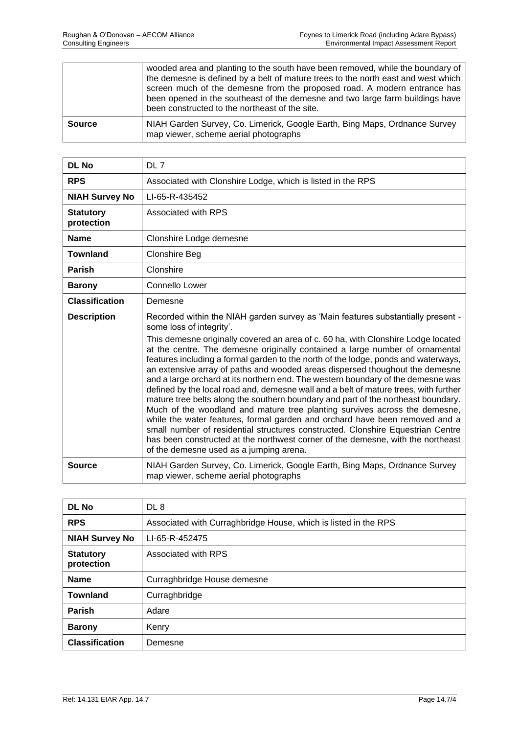|               | wooded area and planting to the south have been removed, while the boundary of<br>the demesne is defined by a belt of mature trees to the north east and west which<br>screen much of the demesne from the proposed road. A modern entrance has<br>been opened in the southeast of the demesne and two large farm buildings have<br>been constructed to the northeast of the site. |
|---------------|------------------------------------------------------------------------------------------------------------------------------------------------------------------------------------------------------------------------------------------------------------------------------------------------------------------------------------------------------------------------------------|
| <b>Source</b> | NIAH Garden Survey, Co. Limerick, Google Earth, Bing Maps, Ordnance Survey<br>map viewer, scheme aerial photographs                                                                                                                                                                                                                                                                |

| <b>DL No</b>                   | DL 7                                                                                                                                                                                                                                                                                                                                                                                                                                                                                                                                                                                                                                                                                                                                                                                                                                                                                                                                                                                                                                                                                                   |
|--------------------------------|--------------------------------------------------------------------------------------------------------------------------------------------------------------------------------------------------------------------------------------------------------------------------------------------------------------------------------------------------------------------------------------------------------------------------------------------------------------------------------------------------------------------------------------------------------------------------------------------------------------------------------------------------------------------------------------------------------------------------------------------------------------------------------------------------------------------------------------------------------------------------------------------------------------------------------------------------------------------------------------------------------------------------------------------------------------------------------------------------------|
| <b>RPS</b>                     | Associated with Clonshire Lodge, which is listed in the RPS                                                                                                                                                                                                                                                                                                                                                                                                                                                                                                                                                                                                                                                                                                                                                                                                                                                                                                                                                                                                                                            |
| <b>NIAH Survey No</b>          | LI-65-R-435452                                                                                                                                                                                                                                                                                                                                                                                                                                                                                                                                                                                                                                                                                                                                                                                                                                                                                                                                                                                                                                                                                         |
| <b>Statutory</b><br>protection | Associated with RPS                                                                                                                                                                                                                                                                                                                                                                                                                                                                                                                                                                                                                                                                                                                                                                                                                                                                                                                                                                                                                                                                                    |
| <b>Name</b>                    | Clonshire Lodge demesne                                                                                                                                                                                                                                                                                                                                                                                                                                                                                                                                                                                                                                                                                                                                                                                                                                                                                                                                                                                                                                                                                |
| <b>Townland</b>                | <b>Clonshire Beg</b>                                                                                                                                                                                                                                                                                                                                                                                                                                                                                                                                                                                                                                                                                                                                                                                                                                                                                                                                                                                                                                                                                   |
| <b>Parish</b>                  | Clonshire                                                                                                                                                                                                                                                                                                                                                                                                                                                                                                                                                                                                                                                                                                                                                                                                                                                                                                                                                                                                                                                                                              |
| <b>Barony</b>                  | Connello Lower                                                                                                                                                                                                                                                                                                                                                                                                                                                                                                                                                                                                                                                                                                                                                                                                                                                                                                                                                                                                                                                                                         |
| <b>Classification</b>          | Demesne                                                                                                                                                                                                                                                                                                                                                                                                                                                                                                                                                                                                                                                                                                                                                                                                                                                                                                                                                                                                                                                                                                |
| <b>Description</b>             | Recorded within the NIAH garden survey as 'Main features substantially present -<br>some loss of integrity'.<br>This demesne originally covered an area of c. 60 ha, with Clonshire Lodge located<br>at the centre. The demesne originally contained a large number of ornamental<br>features including a formal garden to the north of the lodge, ponds and waterways,<br>an extensive array of paths and wooded areas dispersed thoughout the demesne<br>and a large orchard at its northern end. The western boundary of the demesne was<br>defined by the local road and, demesne wall and a belt of mature trees, with further<br>mature tree belts along the southern boundary and part of the northeast boundary.<br>Much of the woodland and mature tree planting survives across the demesne,<br>while the water features, formal garden and orchard have been removed and a<br>small number of residential structures constructed. Clonshire Equestrian Centre<br>has been constructed at the northwest corner of the demesne, with the northeast<br>of the demesne used as a jumping arena. |
| <b>Source</b>                  | NIAH Garden Survey, Co. Limerick, Google Earth, Bing Maps, Ordnance Survey<br>map viewer, scheme aerial photographs                                                                                                                                                                                                                                                                                                                                                                                                                                                                                                                                                                                                                                                                                                                                                                                                                                                                                                                                                                                    |

| <b>DL No</b>                   | DL <sub>8</sub>                                                 |
|--------------------------------|-----------------------------------------------------------------|
| <b>RPS</b>                     | Associated with Curraghbridge House, which is listed in the RPS |
| <b>NIAH Survey No</b>          | LI-65-R-452475                                                  |
| <b>Statutory</b><br>protection | Associated with RPS                                             |
| <b>Name</b>                    | Curraghbridge House demesne                                     |
| <b>Townland</b>                | Curraghbridge                                                   |
| <b>Parish</b>                  | Adare                                                           |
| <b>Barony</b>                  | Kenry                                                           |
| <b>Classification</b>          | Demesne                                                         |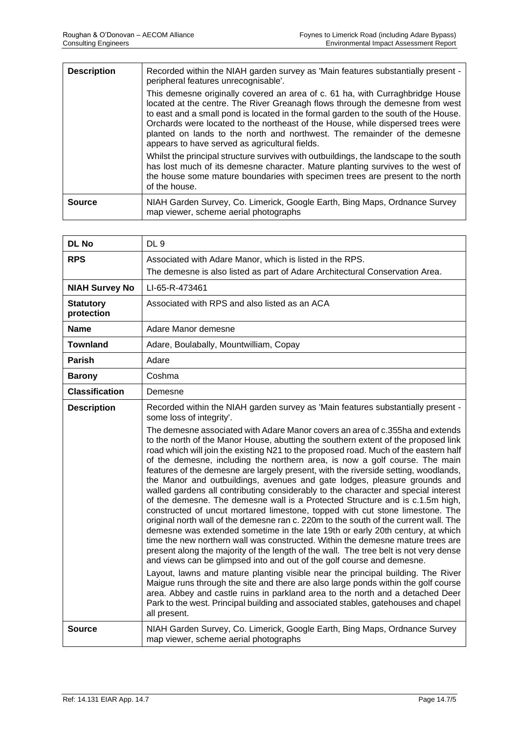| <b>Description</b> | Recorded within the NIAH garden survey as 'Main features substantially present -<br>peripheral features unrecognisable'.                                                                                                                                                                                                                                                                                                                                                |
|--------------------|-------------------------------------------------------------------------------------------------------------------------------------------------------------------------------------------------------------------------------------------------------------------------------------------------------------------------------------------------------------------------------------------------------------------------------------------------------------------------|
|                    | This demesne originally covered an area of c. 61 ha, with Curraghbridge House<br>located at the centre. The River Greanagh flows through the demesne from west<br>to east and a small pond is located in the formal garden to the south of the House.<br>Orchards were located to the northeast of the House, while dispersed trees were<br>planted on lands to the north and northwest. The remainder of the demesne<br>appears to have served as agricultural fields. |
|                    | Whilst the principal structure survives with outbuildings, the landscape to the south<br>has lost much of its demesne character. Mature planting survives to the west of<br>the house some mature boundaries with specimen trees are present to the north<br>of the house.                                                                                                                                                                                              |
| <b>Source</b>      | NIAH Garden Survey, Co. Limerick, Google Earth, Bing Maps, Ordnance Survey<br>map viewer, scheme aerial photographs                                                                                                                                                                                                                                                                                                                                                     |

| <b>DL No</b>                   | DL <sub>9</sub>                                                                                                                                                                                                                                                                                                                                                                                                                                                                                                                                                                                                                                                                                                                                                                                                                                                                                                                                                                                                                                                                                                                                                                                                                                                                                                                                                                                                                                                                                                                                                                                                                                                                          |
|--------------------------------|------------------------------------------------------------------------------------------------------------------------------------------------------------------------------------------------------------------------------------------------------------------------------------------------------------------------------------------------------------------------------------------------------------------------------------------------------------------------------------------------------------------------------------------------------------------------------------------------------------------------------------------------------------------------------------------------------------------------------------------------------------------------------------------------------------------------------------------------------------------------------------------------------------------------------------------------------------------------------------------------------------------------------------------------------------------------------------------------------------------------------------------------------------------------------------------------------------------------------------------------------------------------------------------------------------------------------------------------------------------------------------------------------------------------------------------------------------------------------------------------------------------------------------------------------------------------------------------------------------------------------------------------------------------------------------------|
| <b>RPS</b>                     | Associated with Adare Manor, which is listed in the RPS.                                                                                                                                                                                                                                                                                                                                                                                                                                                                                                                                                                                                                                                                                                                                                                                                                                                                                                                                                                                                                                                                                                                                                                                                                                                                                                                                                                                                                                                                                                                                                                                                                                 |
|                                | The demesne is also listed as part of Adare Architectural Conservation Area.                                                                                                                                                                                                                                                                                                                                                                                                                                                                                                                                                                                                                                                                                                                                                                                                                                                                                                                                                                                                                                                                                                                                                                                                                                                                                                                                                                                                                                                                                                                                                                                                             |
| <b>NIAH Survey No</b>          | LI-65-R-473461                                                                                                                                                                                                                                                                                                                                                                                                                                                                                                                                                                                                                                                                                                                                                                                                                                                                                                                                                                                                                                                                                                                                                                                                                                                                                                                                                                                                                                                                                                                                                                                                                                                                           |
| <b>Statutory</b><br>protection | Associated with RPS and also listed as an ACA                                                                                                                                                                                                                                                                                                                                                                                                                                                                                                                                                                                                                                                                                                                                                                                                                                                                                                                                                                                                                                                                                                                                                                                                                                                                                                                                                                                                                                                                                                                                                                                                                                            |
| <b>Name</b>                    | Adare Manor demesne                                                                                                                                                                                                                                                                                                                                                                                                                                                                                                                                                                                                                                                                                                                                                                                                                                                                                                                                                                                                                                                                                                                                                                                                                                                                                                                                                                                                                                                                                                                                                                                                                                                                      |
| <b>Townland</b>                | Adare, Boulabally, Mountwilliam, Copay                                                                                                                                                                                                                                                                                                                                                                                                                                                                                                                                                                                                                                                                                                                                                                                                                                                                                                                                                                                                                                                                                                                                                                                                                                                                                                                                                                                                                                                                                                                                                                                                                                                   |
| <b>Parish</b>                  | Adare                                                                                                                                                                                                                                                                                                                                                                                                                                                                                                                                                                                                                                                                                                                                                                                                                                                                                                                                                                                                                                                                                                                                                                                                                                                                                                                                                                                                                                                                                                                                                                                                                                                                                    |
| <b>Barony</b>                  | Coshma                                                                                                                                                                                                                                                                                                                                                                                                                                                                                                                                                                                                                                                                                                                                                                                                                                                                                                                                                                                                                                                                                                                                                                                                                                                                                                                                                                                                                                                                                                                                                                                                                                                                                   |
| <b>Classification</b>          | Demesne                                                                                                                                                                                                                                                                                                                                                                                                                                                                                                                                                                                                                                                                                                                                                                                                                                                                                                                                                                                                                                                                                                                                                                                                                                                                                                                                                                                                                                                                                                                                                                                                                                                                                  |
| <b>Description</b>             | Recorded within the NIAH garden survey as 'Main features substantially present -<br>some loss of integrity'.<br>The demesne associated with Adare Manor covers an area of c.355ha and extends<br>to the north of the Manor House, abutting the southern extent of the proposed link<br>road which will join the existing N21 to the proposed road. Much of the eastern half<br>of the demesne, including the northern area, is now a golf course. The main<br>features of the demesne are largely present, with the riverside setting, woodlands,<br>the Manor and outbuildings, avenues and gate lodges, pleasure grounds and<br>walled gardens all contributing considerably to the character and special interest<br>of the demesne. The demesne wall is a Protected Structure and is c.1.5m high,<br>constructed of uncut mortared limestone, topped with cut stone limestone. The<br>original north wall of the demesne ran c. 220m to the south of the current wall. The<br>demesne was extended sometime in the late 19th or early 20th century, at which<br>time the new northern wall was constructed. Within the demesne mature trees are<br>present along the majority of the length of the wall. The tree belt is not very dense<br>and views can be glimpsed into and out of the golf course and demesne.<br>Layout, lawns and mature planting visible near the principal building. The River<br>Maigue runs through the site and there are also large ponds within the golf course<br>area. Abbey and castle ruins in parkland area to the north and a detached Deer<br>Park to the west. Principal building and associated stables, gatehouses and chapel<br>all present. |
| <b>Source</b>                  | NIAH Garden Survey, Co. Limerick, Google Earth, Bing Maps, Ordnance Survey<br>map viewer, scheme aerial photographs                                                                                                                                                                                                                                                                                                                                                                                                                                                                                                                                                                                                                                                                                                                                                                                                                                                                                                                                                                                                                                                                                                                                                                                                                                                                                                                                                                                                                                                                                                                                                                      |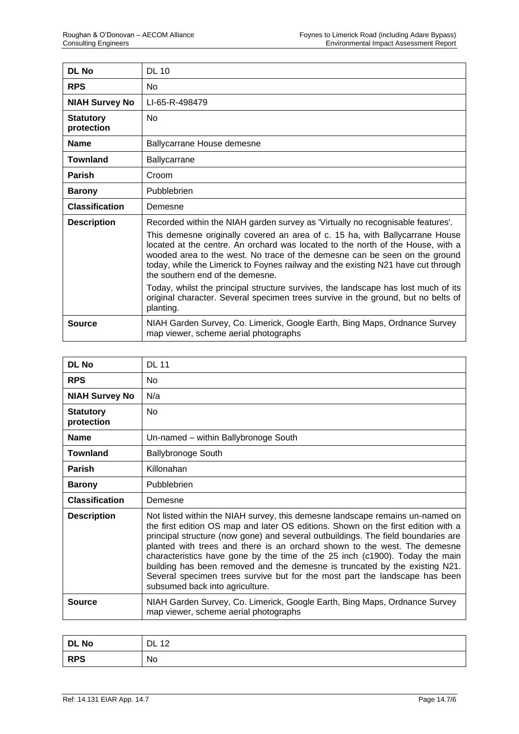| <b>DL No</b>                   | <b>DL 10</b>                                                                                                                                                                                                                                                                                                                                                                                                                                                                                                                                                                                                                                      |
|--------------------------------|---------------------------------------------------------------------------------------------------------------------------------------------------------------------------------------------------------------------------------------------------------------------------------------------------------------------------------------------------------------------------------------------------------------------------------------------------------------------------------------------------------------------------------------------------------------------------------------------------------------------------------------------------|
| <b>RPS</b>                     | No                                                                                                                                                                                                                                                                                                                                                                                                                                                                                                                                                                                                                                                |
| <b>NIAH Survey No</b>          | LI-65-R-498479                                                                                                                                                                                                                                                                                                                                                                                                                                                                                                                                                                                                                                    |
| <b>Statutory</b><br>protection | <b>No</b>                                                                                                                                                                                                                                                                                                                                                                                                                                                                                                                                                                                                                                         |
| <b>Name</b>                    | Ballycarrane House demesne                                                                                                                                                                                                                                                                                                                                                                                                                                                                                                                                                                                                                        |
| Townland                       | Ballycarrane                                                                                                                                                                                                                                                                                                                                                                                                                                                                                                                                                                                                                                      |
| <b>Parish</b>                  | Croom                                                                                                                                                                                                                                                                                                                                                                                                                                                                                                                                                                                                                                             |
| <b>Barony</b>                  | Pubblebrien                                                                                                                                                                                                                                                                                                                                                                                                                                                                                                                                                                                                                                       |
| <b>Classification</b>          | Demesne                                                                                                                                                                                                                                                                                                                                                                                                                                                                                                                                                                                                                                           |
| <b>Description</b>             | Recorded within the NIAH garden survey as 'Virtually no recognisable features'.<br>This demesne originally covered an area of c. 15 ha, with Ballycarrane House<br>located at the centre. An orchard was located to the north of the House, with a<br>wooded area to the west. No trace of the demesne can be seen on the ground<br>today, while the Limerick to Foynes railway and the existing N21 have cut through<br>the southern end of the demesne.<br>Today, whilst the principal structure survives, the landscape has lost much of its<br>original character. Several specimen trees survive in the ground, but no belts of<br>planting. |
| Source                         | NIAH Garden Survey, Co. Limerick, Google Earth, Bing Maps, Ordnance Survey<br>map viewer, scheme aerial photographs                                                                                                                                                                                                                                                                                                                                                                                                                                                                                                                               |

| <b>DL No</b>                   | <b>DL 11</b>                                                                                                                                                                                                                                                                                                                                                                                                                                                                                                                                                                                                          |
|--------------------------------|-----------------------------------------------------------------------------------------------------------------------------------------------------------------------------------------------------------------------------------------------------------------------------------------------------------------------------------------------------------------------------------------------------------------------------------------------------------------------------------------------------------------------------------------------------------------------------------------------------------------------|
| <b>RPS</b>                     | No.                                                                                                                                                                                                                                                                                                                                                                                                                                                                                                                                                                                                                   |
| <b>NIAH Survey No</b>          | N/a                                                                                                                                                                                                                                                                                                                                                                                                                                                                                                                                                                                                                   |
| <b>Statutory</b><br>protection | <b>No</b>                                                                                                                                                                                                                                                                                                                                                                                                                                                                                                                                                                                                             |
| <b>Name</b>                    | Un-named - within Ballybronoge South                                                                                                                                                                                                                                                                                                                                                                                                                                                                                                                                                                                  |
| <b>Townland</b>                | <b>Ballybronoge South</b>                                                                                                                                                                                                                                                                                                                                                                                                                                                                                                                                                                                             |
| <b>Parish</b>                  | Killonahan                                                                                                                                                                                                                                                                                                                                                                                                                                                                                                                                                                                                            |
| <b>Barony</b>                  | Pubblebrien                                                                                                                                                                                                                                                                                                                                                                                                                                                                                                                                                                                                           |
| <b>Classification</b>          | Demesne                                                                                                                                                                                                                                                                                                                                                                                                                                                                                                                                                                                                               |
| <b>Description</b>             | Not listed within the NIAH survey, this demesne landscape remains un-named on<br>the first edition OS map and later OS editions. Shown on the first edition with a<br>principal structure (now gone) and several outbuildings. The field boundaries are<br>planted with trees and there is an orchard shown to the west. The demesne<br>characteristics have gone by the time of the 25 inch (c1900). Today the main<br>building has been removed and the demesne is truncated by the existing N21.<br>Several specimen trees survive but for the most part the landscape has been<br>subsumed back into agriculture. |
| <b>Source</b>                  | NIAH Garden Survey, Co. Limerick, Google Earth, Bing Maps, Ordnance Survey<br>map viewer, scheme aerial photographs                                                                                                                                                                                                                                                                                                                                                                                                                                                                                                   |

| <b>DL No</b> | .12<br>DL |
|--------------|-----------|
| <b>RPS</b>   | No        |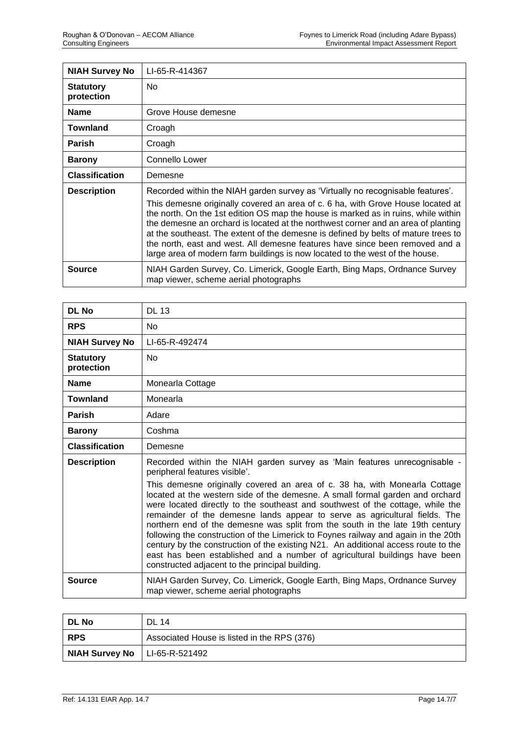| <b>NIAH Survey No</b>          | LI-65-R-414367                                                                                                                                                                                                                                                                                                                                                                                                                                                                                                                                                                                      |
|--------------------------------|-----------------------------------------------------------------------------------------------------------------------------------------------------------------------------------------------------------------------------------------------------------------------------------------------------------------------------------------------------------------------------------------------------------------------------------------------------------------------------------------------------------------------------------------------------------------------------------------------------|
| <b>Statutory</b><br>protection | No.                                                                                                                                                                                                                                                                                                                                                                                                                                                                                                                                                                                                 |
| <b>Name</b>                    | Grove House demesne                                                                                                                                                                                                                                                                                                                                                                                                                                                                                                                                                                                 |
| <b>Townland</b>                | Croagh                                                                                                                                                                                                                                                                                                                                                                                                                                                                                                                                                                                              |
| <b>Parish</b>                  | Croagh                                                                                                                                                                                                                                                                                                                                                                                                                                                                                                                                                                                              |
| <b>Barony</b>                  | Connello Lower                                                                                                                                                                                                                                                                                                                                                                                                                                                                                                                                                                                      |
| <b>Classification</b>          | Demesne                                                                                                                                                                                                                                                                                                                                                                                                                                                                                                                                                                                             |
| <b>Description</b>             | Recorded within the NIAH garden survey as 'Virtually no recognisable features'.<br>This demesne originally covered an area of c. 6 ha, with Grove House located at<br>the north. On the 1st edition OS map the house is marked as in ruins, while within<br>the demesne an orchard is located at the northwest corner and an area of planting<br>at the southeast. The extent of the demesne is defined by belts of mature trees to<br>the north, east and west. All demesne features have since been removed and a<br>large area of modern farm buildings is now located to the west of the house. |
| <b>Source</b>                  | NIAH Garden Survey, Co. Limerick, Google Earth, Bing Maps, Ordnance Survey<br>map viewer, scheme aerial photographs                                                                                                                                                                                                                                                                                                                                                                                                                                                                                 |

| DL No                          | <b>DL 13</b>                                                                                                                                                                                                                                                                                                                                                                                                                                                                                                                                                                                                                                                                                                                                                                                                                            |
|--------------------------------|-----------------------------------------------------------------------------------------------------------------------------------------------------------------------------------------------------------------------------------------------------------------------------------------------------------------------------------------------------------------------------------------------------------------------------------------------------------------------------------------------------------------------------------------------------------------------------------------------------------------------------------------------------------------------------------------------------------------------------------------------------------------------------------------------------------------------------------------|
| <b>RPS</b>                     | <b>No</b>                                                                                                                                                                                                                                                                                                                                                                                                                                                                                                                                                                                                                                                                                                                                                                                                                               |
| <b>NIAH Survey No</b>          | LI-65-R-492474                                                                                                                                                                                                                                                                                                                                                                                                                                                                                                                                                                                                                                                                                                                                                                                                                          |
| <b>Statutory</b><br>protection | <b>No</b>                                                                                                                                                                                                                                                                                                                                                                                                                                                                                                                                                                                                                                                                                                                                                                                                                               |
| <b>Name</b>                    | Monearla Cottage                                                                                                                                                                                                                                                                                                                                                                                                                                                                                                                                                                                                                                                                                                                                                                                                                        |
| <b>Townland</b>                | Monearla                                                                                                                                                                                                                                                                                                                                                                                                                                                                                                                                                                                                                                                                                                                                                                                                                                |
| <b>Parish</b>                  | Adare                                                                                                                                                                                                                                                                                                                                                                                                                                                                                                                                                                                                                                                                                                                                                                                                                                   |
| <b>Barony</b>                  | Coshma                                                                                                                                                                                                                                                                                                                                                                                                                                                                                                                                                                                                                                                                                                                                                                                                                                  |
| <b>Classification</b>          | Demesne                                                                                                                                                                                                                                                                                                                                                                                                                                                                                                                                                                                                                                                                                                                                                                                                                                 |
| <b>Description</b>             | Recorded within the NIAH garden survey as 'Main features unrecognisable -<br>peripheral features visible'.<br>This demesne originally covered an area of c. 38 ha, with Monearla Cottage<br>located at the western side of the demesne. A small formal garden and orchard<br>were located directly to the southeast and southwest of the cottage, while the<br>remainder of the demesne lands appear to serve as agricultural fields. The<br>northern end of the demesne was split from the south in the late 19th century<br>following the construction of the Limerick to Foynes railway and again in the 20th<br>century by the construction of the existing N21. An additional access route to the<br>east has been established and a number of agricultural buildings have been<br>constructed adjacent to the principal building. |
| <b>Source</b>                  | NIAH Garden Survey, Co. Limerick, Google Earth, Bing Maps, Ordnance Survey<br>map viewer, scheme aerial photographs                                                                                                                                                                                                                                                                                                                                                                                                                                                                                                                                                                                                                                                                                                                     |

| DL No                           | <b>DL 14</b>                                |
|---------------------------------|---------------------------------------------|
| l RPS                           | Associated House is listed in the RPS (376) |
| NIAH Survey No   LI-65-R-521492 |                                             |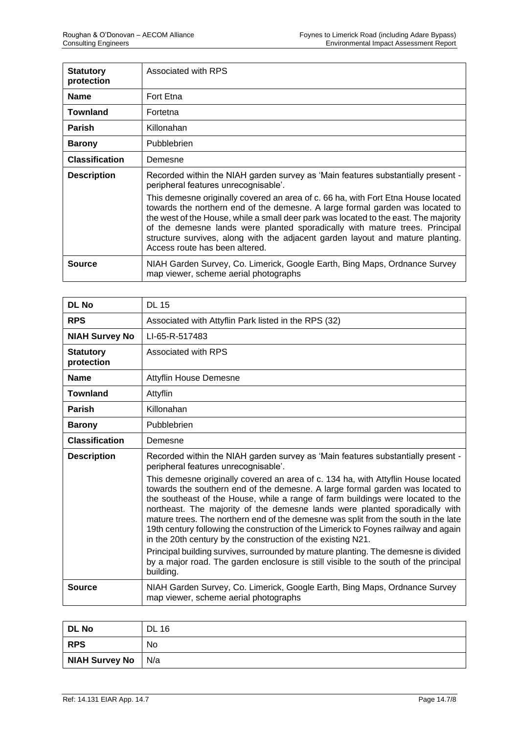| <b>Statutory</b><br>protection | Associated with RPS                                                                                                                                                                                                                                                                                                                                                                                                                                                                                                                                                                       |
|--------------------------------|-------------------------------------------------------------------------------------------------------------------------------------------------------------------------------------------------------------------------------------------------------------------------------------------------------------------------------------------------------------------------------------------------------------------------------------------------------------------------------------------------------------------------------------------------------------------------------------------|
| <b>Name</b>                    | Fort Etna                                                                                                                                                                                                                                                                                                                                                                                                                                                                                                                                                                                 |
| <b>Townland</b>                | Fortetna                                                                                                                                                                                                                                                                                                                                                                                                                                                                                                                                                                                  |
| <b>Parish</b>                  | Killonahan                                                                                                                                                                                                                                                                                                                                                                                                                                                                                                                                                                                |
| <b>Barony</b>                  | Pubblebrien                                                                                                                                                                                                                                                                                                                                                                                                                                                                                                                                                                               |
| <b>Classification</b>          | Demesne                                                                                                                                                                                                                                                                                                                                                                                                                                                                                                                                                                                   |
| <b>Description</b>             | Recorded within the NIAH garden survey as 'Main features substantially present -<br>peripheral features unrecognisable'.<br>This demesne originally covered an area of c. 66 ha, with Fort Etna House located<br>towards the northern end of the demesne. A large formal garden was located to<br>the west of the House, while a small deer park was located to the east. The majority<br>of the demesne lands were planted sporadically with mature trees. Principal<br>structure survives, along with the adjacent garden layout and mature planting.<br>Access route has been altered. |
| <b>Source</b>                  | NIAH Garden Survey, Co. Limerick, Google Earth, Bing Maps, Ordnance Survey<br>map viewer, scheme aerial photographs                                                                                                                                                                                                                                                                                                                                                                                                                                                                       |

| DL No                          | <b>DL 15</b>                                                                                                                                                                                                                                                                                                                                                                                                                                                                                                                                                                      |
|--------------------------------|-----------------------------------------------------------------------------------------------------------------------------------------------------------------------------------------------------------------------------------------------------------------------------------------------------------------------------------------------------------------------------------------------------------------------------------------------------------------------------------------------------------------------------------------------------------------------------------|
| <b>RPS</b>                     | Associated with Attyflin Park listed in the RPS (32)                                                                                                                                                                                                                                                                                                                                                                                                                                                                                                                              |
| <b>NIAH Survey No</b>          | LI-65-R-517483                                                                                                                                                                                                                                                                                                                                                                                                                                                                                                                                                                    |
| <b>Statutory</b><br>protection | Associated with RPS                                                                                                                                                                                                                                                                                                                                                                                                                                                                                                                                                               |
| <b>Name</b>                    | <b>Attyflin House Demesne</b>                                                                                                                                                                                                                                                                                                                                                                                                                                                                                                                                                     |
| <b>Townland</b>                | Attyflin                                                                                                                                                                                                                                                                                                                                                                                                                                                                                                                                                                          |
| Parish                         | Killonahan                                                                                                                                                                                                                                                                                                                                                                                                                                                                                                                                                                        |
| <b>Barony</b>                  | Pubblebrien                                                                                                                                                                                                                                                                                                                                                                                                                                                                                                                                                                       |
| <b>Classification</b>          | Demesne                                                                                                                                                                                                                                                                                                                                                                                                                                                                                                                                                                           |
| <b>Description</b>             | Recorded within the NIAH garden survey as 'Main features substantially present -<br>peripheral features unrecognisable'.                                                                                                                                                                                                                                                                                                                                                                                                                                                          |
|                                | This demesne originally covered an area of c. 134 ha, with Attyflin House located<br>towards the southern end of the demesne. A large formal garden was located to<br>the southeast of the House, while a range of farm buildings were located to the<br>northeast. The majority of the demesne lands were planted sporadically with<br>mature trees. The northern end of the demesne was split from the south in the late<br>19th century following the construction of the Limerick to Foynes railway and again<br>in the 20th century by the construction of the existing N21. |
|                                | Principal building survives, surrounded by mature planting. The demesne is divided<br>by a major road. The garden enclosure is still visible to the south of the principal<br>building.                                                                                                                                                                                                                                                                                                                                                                                           |
| <b>Source</b>                  | NIAH Garden Survey, Co. Limerick, Google Earth, Bing Maps, Ordnance Survey<br>map viewer, scheme aerial photographs                                                                                                                                                                                                                                                                                                                                                                                                                                                               |

| DL No          | <b>DL 16</b> |
|----------------|--------------|
| <b>RPS</b>     | No           |
| NIAH Survey No | N/a          |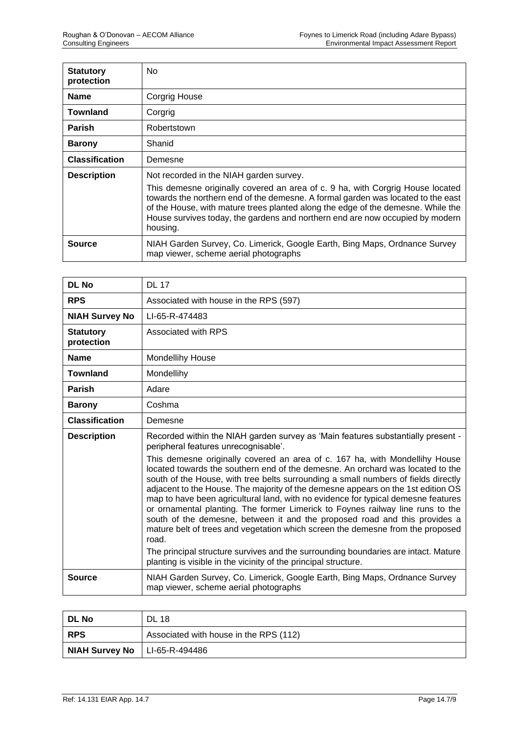| <b>Statutory</b><br>protection | No                                                                                                                                                                                                                                                                                                                                                  |
|--------------------------------|-----------------------------------------------------------------------------------------------------------------------------------------------------------------------------------------------------------------------------------------------------------------------------------------------------------------------------------------------------|
| <b>Name</b>                    | Corgrig House                                                                                                                                                                                                                                                                                                                                       |
| Townland                       | Corgrig                                                                                                                                                                                                                                                                                                                                             |
| <b>Parish</b>                  | Robertstown                                                                                                                                                                                                                                                                                                                                         |
| <b>Barony</b>                  | Shanid                                                                                                                                                                                                                                                                                                                                              |
| <b>Classification</b>          | Demesne                                                                                                                                                                                                                                                                                                                                             |
| <b>Description</b>             | Not recorded in the NIAH garden survey.                                                                                                                                                                                                                                                                                                             |
|                                | This demesne originally covered an area of c. 9 ha, with Corgrig House located<br>towards the northern end of the demesne. A formal garden was located to the east<br>of the House, with mature trees planted along the edge of the demesne. While the<br>House survives today, the gardens and northern end are now occupied by modern<br>housing. |
| <b>Source</b>                  | NIAH Garden Survey, Co. Limerick, Google Earth, Bing Maps, Ordnance Survey<br>map viewer, scheme aerial photographs                                                                                                                                                                                                                                 |

| <b>DL No</b>                   | <b>DL 17</b>                                                                                                                                                                                                                                                                                                                                                                                                                                                                                                                                                                                             |
|--------------------------------|----------------------------------------------------------------------------------------------------------------------------------------------------------------------------------------------------------------------------------------------------------------------------------------------------------------------------------------------------------------------------------------------------------------------------------------------------------------------------------------------------------------------------------------------------------------------------------------------------------|
| <b>RPS</b>                     | Associated with house in the RPS (597)                                                                                                                                                                                                                                                                                                                                                                                                                                                                                                                                                                   |
| <b>NIAH Survey No</b>          | LI-65-R-474483                                                                                                                                                                                                                                                                                                                                                                                                                                                                                                                                                                                           |
| <b>Statutory</b><br>protection | Associated with RPS                                                                                                                                                                                                                                                                                                                                                                                                                                                                                                                                                                                      |
| <b>Name</b>                    | <b>Mondellihy House</b>                                                                                                                                                                                                                                                                                                                                                                                                                                                                                                                                                                                  |
| <b>Townland</b>                | Mondellihy                                                                                                                                                                                                                                                                                                                                                                                                                                                                                                                                                                                               |
| <b>Parish</b>                  | Adare                                                                                                                                                                                                                                                                                                                                                                                                                                                                                                                                                                                                    |
| <b>Barony</b>                  | Coshma                                                                                                                                                                                                                                                                                                                                                                                                                                                                                                                                                                                                   |
| <b>Classification</b>          | Demesne                                                                                                                                                                                                                                                                                                                                                                                                                                                                                                                                                                                                  |
| <b>Description</b>             | Recorded within the NIAH garden survey as 'Main features substantially present -<br>peripheral features unrecognisable'.<br>This demesne originally covered an area of c. 167 ha, with Mondellihy House                                                                                                                                                                                                                                                                                                                                                                                                  |
|                                | located towards the southern end of the demesne. An orchard was located to the<br>south of the House, with tree belts surrounding a small numbers of fields directly<br>adjacent to the House. The majority of the demesne appears on the 1st edition OS<br>map to have been agricultural land, with no evidence for typical demesne features<br>or ornamental planting. The former Limerick to Foynes railway line runs to the<br>south of the demesne, between it and the proposed road and this provides a<br>mature belt of trees and vegetation which screen the demesne from the proposed<br>road. |
|                                | The principal structure survives and the surrounding boundaries are intact. Mature<br>planting is visible in the vicinity of the principal structure.                                                                                                                                                                                                                                                                                                                                                                                                                                                    |
| <b>Source</b>                  | NIAH Garden Survey, Co. Limerick, Google Earth, Bing Maps, Ordnance Survey<br>map viewer, scheme aerial photographs                                                                                                                                                                                                                                                                                                                                                                                                                                                                                      |

| l DL No                         | <b>DL 18</b>                           |
|---------------------------------|----------------------------------------|
| ∣ RPS                           | Associated with house in the RPS (112) |
| NIAH Survey No   LI-65-R-494486 |                                        |